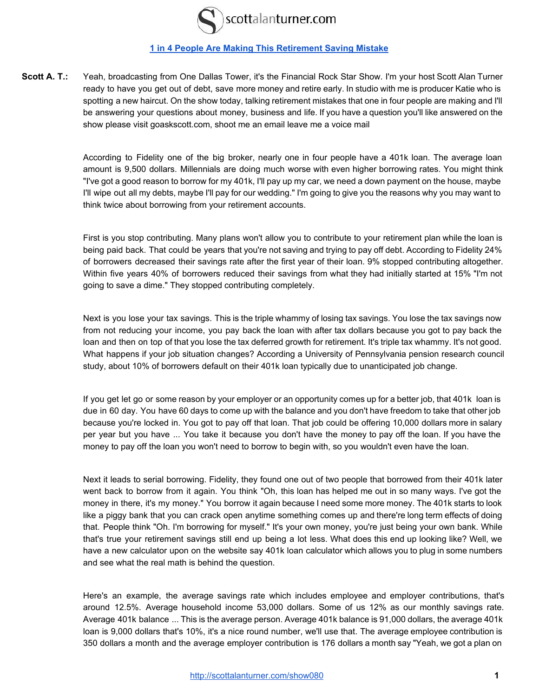

## **[1 in 4 People Are Making This Retirement Saving Mistake](http://scottalanturner.com/show080)**

**Scott A. T.:** Yeah, broadcasting from One Dallas Tower, it's the Financial Rock Star Show. I'm your host Scott Alan Turner ready to have you get out of debt, save more money and retire early. In studio with me is producer Katie who is spotting a new haircut. On the show today, talking retirement mistakes that one in four people are making and I'll be answering your questions about money, business and life. If you have a question you'll like answered on the show please visit goaskscott.com, shoot me an email leave me a voice mail

> According to Fidelity one of the big broker, nearly one in four people have a 401k loan. The average loan amount is 9,500 dollars. Millennials are doing much worse with even higher borrowing rates. You might think "I've got a good reason to borrow for my 401k, I'll pay up my car, we need a down payment on the house, maybe I'll wipe out all my debts, maybe I'll pay for our wedding." I'm going to give you the reasons why you may want to think twice about borrowing from your retirement accounts.

> First is you stop contributing. Many plans won't allow you to contribute to your retirement plan while the loan is being paid back. That could be years that you're not saving and trying to pay off debt. According to Fidelity 24% of borrowers decreased their savings rate after the first year of their loan. 9% stopped contributing altogether. Within five years 40% of borrowers reduced their savings from what they had initially started at 15% "I'm not going to save a dime." They stopped contributing completely.

> Next is you lose your tax savings. This is the triple whammy of losing tax savings. You lose the tax savings now from not reducing your income, you pay back the loan with after tax dollars because you got to pay back the loan and then on top of that you lose the tax deferred growth for retirement. It's triple tax whammy. It's not good. What happens if your job situation changes? According a University of Pennsylvania pension research council study, about 10% of borrowers default on their 401k loan typically due to unanticipated job change.

> If you get let go or some reason by your employer or an opportunity comes up for a better job, that 401k loan is due in 60 day. You have 60 days to come up with the balance and you don't have freedom to take that other job because you're locked in. You got to pay off that loan. That job could be offering 10,000 dollars more in salary per year but you have ... You take it because you don't have the money to pay off the loan. If you have the money to pay off the loan you won't need to borrow to begin with, so you wouldn't even have the loan.

> Next it leads to serial borrowing. Fidelity, they found one out of two people that borrowed from their 401k later went back to borrow from it again. You think "Oh, this loan has helped me out in so many ways. I've got the money in there, it's my money." You borrow it again because I need some more money. The 401k starts to look like a piggy bank that you can crack open anytime something comes up and there're long term effects of doing that. People think "Oh. I'm borrowing for myself." It's your own money, you're just being your own bank. While that's true your retirement savings still end up being a lot less. What does this end up looking like? Well, we have a new calculator upon on the website say 401k loan calculator which allows you to plug in some numbers and see what the real math is behind the question.

> Here's an example, the average savings rate which includes employee and employer contributions, that's around 12.5%. Average household income 53,000 dollars. Some of us 12% as our monthly savings rate. Average 401k balance ... This is the average person. Average 401k balance is 91,000 dollars, the average 401k loan is 9,000 dollars that's 10%, it's a nice round number, we'll use that. The average employee contribution is 350 dollars a month and the average employer contribution is 176 dollars a month say "Yeah, we got a plan on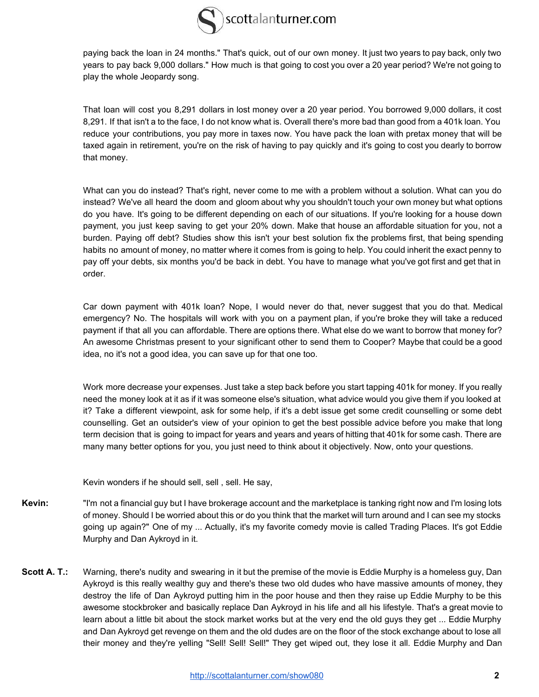

paying back the loan in 24 months." That's quick, out of our own money. It just two years to pay back, only two years to pay back 9,000 dollars." How much is that going to cost you over a 20 year period? We're not going to play the whole Jeopardy song.

 That loan will cost you 8,291 dollars in lost money over a 20 year period. You borrowed 9,000 dollars, it cost 8,291. If that isn't a to the face, I do not know what is. Overall there's more bad than good from a 401k loan. You reduce your contributions, you pay more in taxes now. You have pack the loan with pretax money that will be taxed again in retirement, you're on the risk of having to pay quickly and it's going to cost you dearly to borrow that money.

What can you do instead? That's right, never come to me with a problem without a solution. What can you do instead? We've all heard the doom and gloom about why you shouldn't touch your own money but what options do you have. It's going to be different depending on each of our situations. If you're looking for a house down payment, you just keep saving to get your 20% down. Make that house an affordable situation for you, not a burden. Paying off debt? Studies show this isn't your best solution fix the problems first, that being spending habits no amount of money, no matter where it comes from is going to help. You could inherit the exact penny to pay off your debts, six months you'd be back in debt. You have to manage what you've got first and get that in order.

 Car down payment with 401k loan? Nope, I would never do that, never suggest that you do that. Medical emergency? No. The hospitals will work with you on a payment plan, if you're broke they will take a reduced payment if that all you can affordable. There are options there. What else do we want to borrow that money for? An awesome Christmas present to your significant other to send them to Cooper? Maybe that could be a good idea, no it's not a good idea, you can save up for that one too.

Work more decrease your expenses. Just take a step back before you start tapping 401k for money. If you really need the money look at it as if it was someone else's situation, what advice would you give them if you looked at it? Take a different viewpoint, ask for some help, if it's a debt issue get some credit counselling or some debt counselling. Get an outsider's view of your opinion to get the best possible advice before you make that long term decision that is going to impact for years and years and years of hitting that 401k for some cash. There are many many better options for you, you just need to think about it objectively. Now, onto your questions.

Kevin wonders if he should sell, sell , sell. He say,

- **Kevin:** "I'm not a financial guy but I have brokerage account and the marketplace is tanking right now and I'm losing lots of money. Should I be worried about this or do you think that the market will turn around and I can see my stocks going up again?" One of my ... Actually, it's my favorite comedy movie is called Trading Places. It's got Eddie Murphy and Dan Aykroyd in it.
- **Scott A. T.:** Warning, there's nudity and swearing in it but the premise of the movie is Eddie Murphy is a homeless guy, Dan Aykroyd is this really wealthy guy and there's these two old dudes who have massive amounts of money, they destroy the life of Dan Aykroyd putting him in the poor house and then they raise up Eddie Murphy to be this awesome stockbroker and basically replace Dan Aykroyd in his life and all his lifestyle. That's a great movie to learn about a little bit about the stock market works but at the very end the old guys they get ... Eddie Murphy and Dan Aykroyd get revenge on them and the old dudes are on the floor of the stock exchange about to lose all their money and they're yelling "Sell! Sell! Sell!" They get wiped out, they lose it all. Eddie Murphy and Dan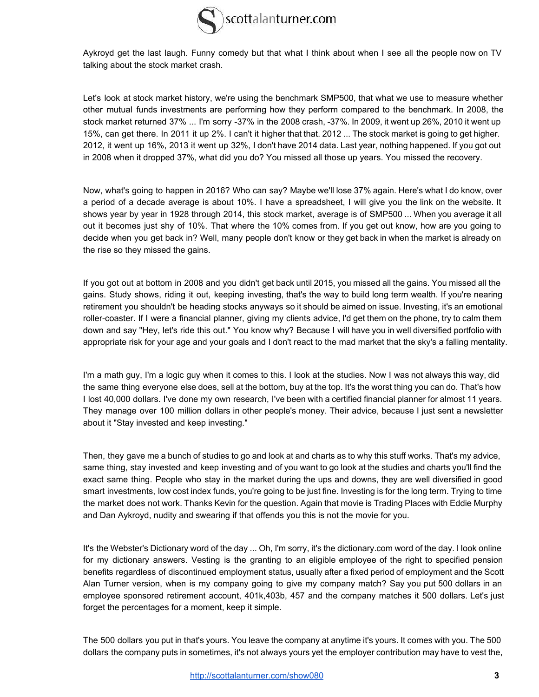

Aykroyd get the last laugh. Funny comedy but that what I think about when I see all the people now on TV talking about the stock market crash.

Let's look at stock market history, we're using the benchmark SMP500, that what we use to measure whether other mutual funds investments are performing how they perform compared to the benchmark. In 2008, the stock market returned 37% ... I'm sorry -37% in the 2008 crash, -37%. In 2009, it went up 26%, 2010 it went up 15%, can get there. In 2011 it up 2%. I can't it higher that that. 2012 ... The stock market is going to get higher. 2012, it went up 16%, 2013 it went up 32%, I don't have 2014 data. Last year, nothing happened. If you got out in 2008 when it dropped 37%, what did you do? You missed all those up years. You missed the recovery.

 Now, what's going to happen in 2016? Who can say? Maybe we'll lose 37% again. Here's what I do know, over a period of a decade average is about 10%. I have a spreadsheet, I will give you the link on the website. It shows year by year in 1928 through 2014, this stock market, average is of SMP500 ... When you average it all out it becomes just shy of 10%. That where the 10% comes from. If you get out know, how are you going to decide when you get back in? Well, many people don't know or they get back in when the market is already on the rise so they missed the gains.

 If you got out at bottom in 2008 and you didn't get back until 2015, you missed all the gains. You missed all the gains. Study shows, riding it out, keeping investing, that's the way to build long term wealth. If you're nearing retirement you shouldn't be heading stocks anyways so it should be aimed on issue. Investing, it's an emotional roller-coaster. If I were a financial planner, giving my clients advice, I'd get them on the phone, try to calm them down and say "Hey, let's ride this out." You know why? Because I will have you in well diversified portfolio with appropriate risk for your age and your goals and I don't react to the mad market that the sky's a falling mentality.

I'm a math guy, I'm a logic guy when it comes to this. I look at the studies. Now I was not always this way, did the same thing everyone else does, sell at the bottom, buy at the top. It's the worst thing you can do. That's how I lost 40,000 dollars. I've done my own research, I've been with a certified financial planner for almost 11 years. They manage over 100 million dollars in other people's money. Their advice, because I just sent a newsletter about it "Stay invested and keep investing."

Then, they gave me a bunch of studies to go and look at and charts as to why this stuff works. That's my advice, same thing, stay invested and keep investing and of you want to go look at the studies and charts you'll find the exact same thing. People who stay in the market during the ups and downs, they are well diversified in good smart investments, low cost index funds, you're going to be just fine. Investing is for the long term. Trying to time the market does not work. Thanks Kevin for the question. Again that movie is Trading Places with Eddie Murphy and Dan Aykroyd, nudity and swearing if that offends you this is not the movie for you.

 It's the Webster's Dictionary word of the day ... Oh, I'm sorry, it's the dictionary.com word of the day. I look online for my dictionary answers. Vesting is the granting to an eligible employee of the right to specified pension benefits regardless of discontinued employment status, usually after a fixed period of employment and the Scott Alan Turner version, when is my company going to give my company match? Say you put 500 dollars in an employee sponsored retirement account, 401k,403b, 457 and the company matches it 500 dollars. Let's just forget the percentages for a moment, keep it simple.

The 500 dollars you put in that's yours. You leave the company at anytime it's yours. It comes with you. The 500 dollars the company puts in sometimes, it's not always yours yet the employer contribution may have to vest the,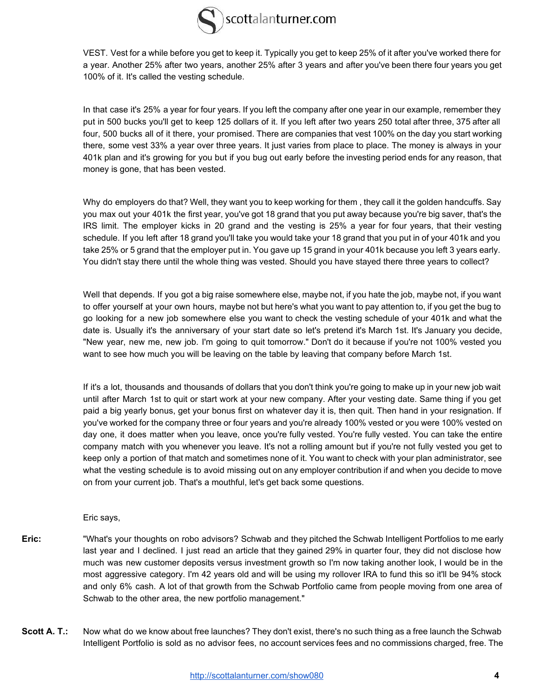

VEST. Vest for a while before you get to keep it. Typically you get to keep 25% of it after you've worked there for a year. Another 25% after two years, another 25% after 3 years and after you've been there four years you get 100% of it. It's called the vesting schedule.

In that case it's 25% a year for four years. If you left the company after one year in our example, remember they put in 500 bucks you'll get to keep 125 dollars of it. If you left after two years 250 total after three, 375 after all four, 500 bucks all of it there, your promised. There are companies that vest 100% on the day you start working there, some vest 33% a year over three years. It just varies from place to place. The money is always in your 401k plan and it's growing for you but if you bug out early before the investing period ends for any reason, that money is gone, that has been vested.

Why do employers do that? Well, they want you to keep working for them, they call it the golden handcuffs. Say you max out your 401k the first year, you've got 18 grand that you put away because you're big saver, that's the IRS limit. The employer kicks in 20 grand and the vesting is 25% a year for four years, that their vesting schedule. If you left after 18 grand you'll take you would take your 18 grand that you put in of your 401k and you take 25% or 5 grand that the employer put in. You gave up 15 grand in your 401k because you left 3 years early. You didn't stay there until the whole thing was vested. Should you have stayed there three years to collect?

Well that depends. If you got a big raise somewhere else, maybe not, if you hate the job, maybe not, if you want to offer yourself at your own hours, maybe not but here's what you want to pay attention to, if you get the bug to go looking for a new job somewhere else you want to check the vesting schedule of your 401k and what the date is. Usually it's the anniversary of your start date so let's pretend it's March 1st. It's January you decide, "New year, new me, new job. I'm going to quit tomorrow." Don't do it because if you're not 100% vested you want to see how much you will be leaving on the table by leaving that company before March 1st.

If it's a lot, thousands and thousands of dollars that you don't think you're going to make up in your new job wait until after March 1st to quit or start work at your new company. After your vesting date. Same thing if you get paid a big yearly bonus, get your bonus first on whatever day it is, then quit. Then hand in your resignation. If you've worked for the company three or four years and you're already 100% vested or you were 100% vested on day one, it does matter when you leave, once you're fully vested. You're fully vested. You can take the entire company match with you whenever you leave. It's not a rolling amount but if you're not fully vested you get to keep only a portion of that match and sometimes none of it. You want to check with your plan administrator, see what the vesting schedule is to avoid missing out on any employer contribution if and when you decide to move on from your current job. That's a mouthful, let's get back some questions.

Eric says,

- **Eric:** "What's your thoughts on robo advisors? Schwab and they pitched the Schwab Intelligent Portfolios to me early last year and I declined. I just read an article that they gained 29% in quarter four, they did not disclose how much was new customer deposits versus investment growth so I'm now taking another look, I would be in the most aggressive category. I'm 42 years old and will be using my rollover IRA to fund this so it'll be 94% stock and only 6% cash. A lot of that growth from the Schwab Portfolio came from people moving from one area of Schwab to the other area, the new portfolio management."
- **Scott A. T.:** Now what do we know about free launches? They don't exist, there's no such thing as a free launch the Schwab Intelligent Portfolio is sold as no advisor fees, no account services fees and no commissions charged, free. The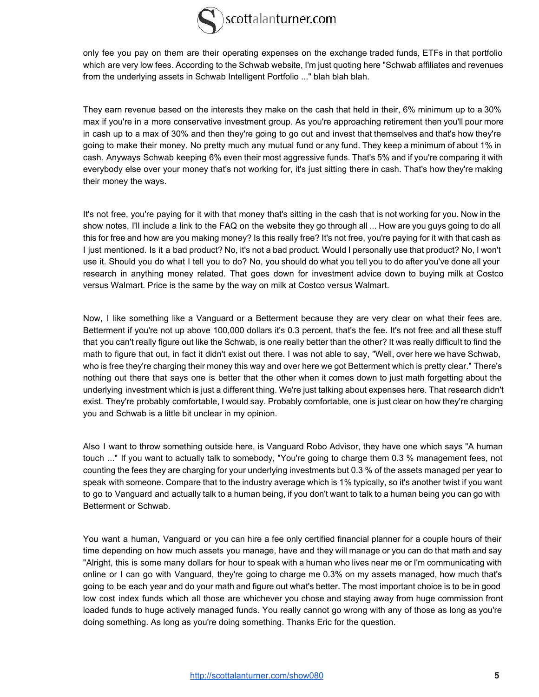

only fee you pay on them are their operating expenses on the exchange traded funds, ETFs in that portfolio which are very low fees. According to the Schwab website, I'm just quoting here "Schwab affiliates and revenues from the underlying assets in Schwab Intelligent Portfolio ..." blah blah blah.

They earn revenue based on the interests they make on the cash that held in their, 6% minimum up to a 30% max if you're in a more conservative investment group. As you're approaching retirement then you'll pour more in cash up to a max of 30% and then they're going to go out and invest that themselves and that's how they're going to make their money. No pretty much any mutual fund or any fund. They keep a minimum of about 1% in cash. Anyways Schwab keeping 6% even their most aggressive funds. That's 5% and if you're comparing it with everybody else over your money that's not working for, it's just sitting there in cash. That's how they're making their money the ways.

It's not free, you're paying for it with that money that's sitting in the cash that is not working for you. Now in the show notes, I'll include a link to the FAQ on the website they go through all ... How are you guys going to do all this for free and how are you making money? Is this really free? It's not free, you're paying for it with that cash as I just mentioned. Is it a bad product? No, it's not a bad product. Would I personally use that product? No, I won't use it. Should you do what I tell you to do? No, you should do what you tel l you to do after you've done all your research in anything money related. That goes down for investment advice down to buying milk at Costco versus Walmart. Price is the same by the way on milk at Costco versus Walmart.

Now, I like something like a Vanguard or a Betterment because they are very clear on what their fees are. Betterment if you're not up above 100,000 dollars it's 0.3 percent, that's the fee. It's not free and all these stuff that you can't really figure out like the Schwab, is one really better than the other? It was really difficult to find the math to figure that out, in fact it didn't exist out there. I was not able to say, "Well, over here we have Schwab, who is free they're charging their money this way and over here we got Betterment which is pretty clear." There's nothing out there that says one is better that the other when it comes down to just math forgetting about the underlying investment which is just a different thing. We're just talking about expenses here. That research didn't exist. They're probably comfortable, I would say. Probably comfortable, one is just clear on how they're charging you and Schwab is a little bit unclear in my opinion.

Also I want to throw something outside here, is Vanguard Robo Advisor, they have one which says "A human touch ..." If you want to actually talk to somebody, "You're going to charge them 0.3 % management fees, not counting the fees they are charging for your underlying investments but 0.3 % of the assets managed per year to speak with someone. Compare that to the industry average which is 1% typically, so it's another twist if you want to go to Vanguard and actually talk to a human being, if you don't want to talk to a human being you can go with Betterment or Schwab.

You want a human, Vanguard or you can hire a fee only certified financial planner for a couple hours of their time depending on how much assets you manage, have and they will manage or you can do that math and say "Alright, this is some many dollars for hour to speak with a human who lives near me or I'm communicating with online or I can go with Vanguard, they're going to charge me 0.3% on my assets managed, how much that's going to be each year and do your math and figure out what's better. The most important choice is to be in good low cost index funds which all those are whichever you chose and staying away from huge commission front loaded funds to huge actively managed funds. You really cannot go wrong with any of those as long as you're doing something. As long as you're doing something. Thanks Eric for the question.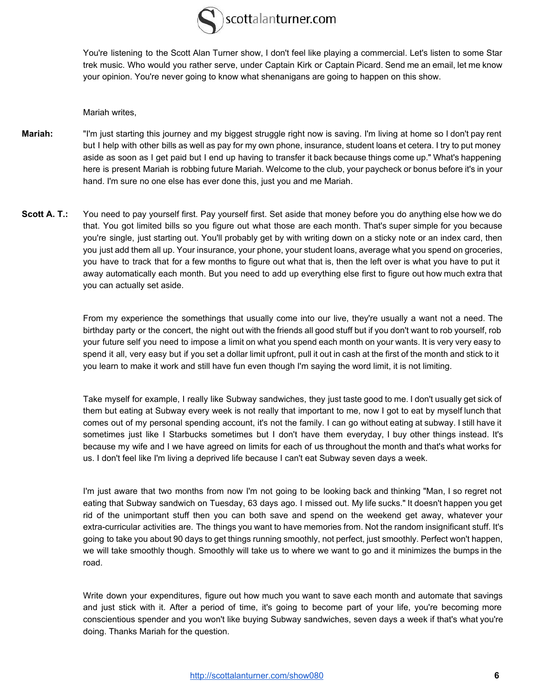

You're listening to the Scott Alan Turner show, I don't feel like playing a commercial. Let's listen to some Star trek music. Who would you rather serve, under Captain Kirk or Captain Picard. Send me an email, let me know your opinion. You're never going to know what shenanigans are going to happen on this show.

Mariah writes,

- **Mariah:** "I'm just starting this journey and my biggest struggle right now is saving. I'm living at home so I don't pay rent but I help with other bills as well as pay for my own phone, insurance, student loans et cetera. I try to put money aside as soon as I get paid but I end up having to transfer it back because things come up." What's happening here is present Mariah is robbing future Mariah. Welcome to the club, your paycheck or bonus before it's in your hand. I'm sure no one else has ever done this, just you and me Mariah.
- **Scott A. T.:** You need to pay yourself first. Pay yourself first. Set aside that money before you do anything else how we do that. You got limited bills so you figure out what those are each month. That's super simple for you because you're single, just starting out. You'll probably get by with writing down on a sticky note or an index card, then you just add them all up. Your insurance, your phone, your student loans, average what you spend on groceries, you have to track that for a few months to figure out what that is, then the left over is what you have to put it away automatically each month. But you need to add up everything else first to figure out how much extra that you can actually set aside.

From my experience the somethings that usually come into our live, they're usually a want not a need. The birthday party or the concert, the night out with the friends all good stuff but if you don't want to rob yourself, rob your future self you need to impose a limit on what you spend each month on your wants. It is very very easy to spend it all, very easy but if you set a dollar limit upfront, pull it out in cash at the first of the month and stick to it you learn to make it work and still have fun even though I'm saying the word limit, it is not limiting.

Take myself for example, I really like Subway sandwiches, they just taste good to me. I don't usually get sick of them but eating at Subway every week is not really that important to me, now I got to eat by myself lunch that comes out of my personal spending account, it's not the family. I can go without eating at subway. I still have it sometimes just like I Starbucks sometimes but I don't have them everyday, I buy other things instead. It's because my wife and I we have agreed on limits for each of us throughout the month and that's what works for us. I don't feel like I'm living a deprived life because I can't eat Subway seven days a week.

I'm just aware that two months from now I'm not going to be looking back and thinking "Man, I so regret not eating that Subway sandwich on Tuesday, 63 days ago. I missed out. My life sucks." It doesn't happen you get rid of the unimportant stuff then you can both save and spend on the weekend get away, whatever your extra-curricular activities are. The things you want to have memories from. Not the random insignificant stuff. It's going to take you about 90 days to get things running smoothly, not perfect, just smoothly. Perfect won't happen, we will take smoothly though. Smoothly will take us to where we want to go and it minimizes the bumps in the road.

Write down your expenditures, figure out how much you want to save each month and automate that savings and just stick with it. After a period of time, it's going to become part of your life, you're becoming more conscientious spender and you won't like buying Subway sandwiches, seven days a week if that's what you're doing. Thanks Mariah for the question.